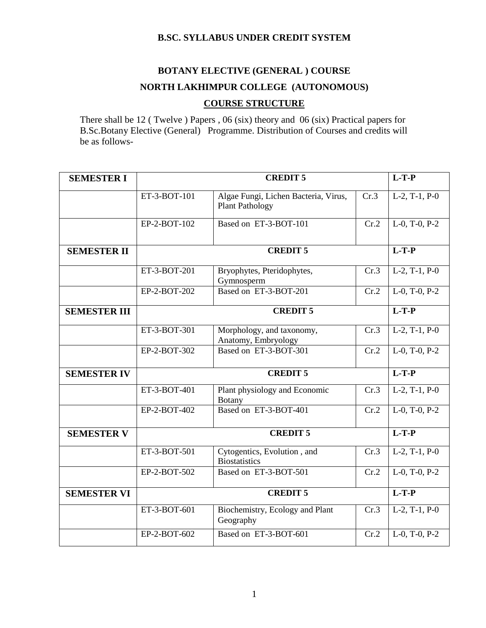## **B.SC. SYLLABUS UNDER CREDIT SYSTEM**

# **BOTANY ELECTIVE (GENERAL ) COURSE NORTH LAKHIMPUR COLLEGE (AUTONOMOUS) COURSE STRUCTURE**

There shall be 12 ( Twelve ) Papers , 06 (six) theory and 06 (six) Practical papers for B.Sc.Botany Elective (General) Programme. Distribution of Courses and credits will be as follows-

| <b>SEMESTER I</b>   |                                       | $L-T-P$                                                        |         |                  |
|---------------------|---------------------------------------|----------------------------------------------------------------|---------|------------------|
|                     | ET-3-BOT-101                          | Algae Fungi, Lichen Bacteria, Virus,<br><b>Plant Pathology</b> | Cr.3    | $L-2$ , T-1, P-0 |
|                     | EP-2-BOT-102                          | Based on ET-3-BOT-101                                          | Cr.2    | L-0, T-0, P-2    |
| <b>SEMESTER II</b>  |                                       | <b>CREDIT 5</b>                                                |         | $L-T-P$          |
|                     | ET-3-BOT-201                          | Bryophytes, Pteridophytes,<br>Gymnosperm                       | Cr.3    | $L-2$ , T-1, P-0 |
|                     | EP-2-BOT-202                          | Based on ET-3-BOT-201                                          | Cr.2    | $L-0$ , T-0, P-2 |
| <b>SEMESTER III</b> |                                       | <b>CREDIT 5</b>                                                |         | $L-T-P$          |
|                     | ET-3-BOT-301                          | Morphology, and taxonomy,<br>Anatomy, Embryology               | Cr.3    | $L-2, T-1, P-0$  |
|                     | EP-2-BOT-302                          | Based on ET-3-BOT-301                                          | Cr.2    | $L-0$ , T-0, P-2 |
| <b>SEMESTER IV</b>  |                                       | <b>CREDIT 5</b>                                                |         | $L-T-P$          |
|                     | ET-3-BOT-401                          | Plant physiology and Economic<br><b>Botany</b>                 | Cr.3    | $L-2$ , T-1, P-0 |
|                     | Based on ET-3-BOT-401<br>EP-2-BOT-402 |                                                                | Cr.2    | $L-0$ , T-0, P-2 |
| <b>SEMESTER V</b>   |                                       | <b>CREDIT 5</b>                                                |         | $L-T-P$          |
|                     | ET-3-BOT-501                          | Cytogentics, Evolution, and<br><b>Biostatistics</b>            | Cr.3    | $L-2$ , T-1, P-0 |
|                     | EP-2-BOT-502                          | Based on ET-3-BOT-501                                          | Cr.2    | $L-0$ , T-0, P-2 |
| <b>SEMESTER VI</b>  | <b>CREDIT 5</b>                       |                                                                | $L-T-P$ |                  |
|                     | ET-3-BOT-601                          | Biochemistry, Ecology and Plant<br>Geography                   | Cr.3    | $L-2$ , T-1, P-0 |
|                     | EP-2-BOT-602                          | Based on ET-3-BOT-601                                          | Cr.2    | $L-0$ , T-0, P-2 |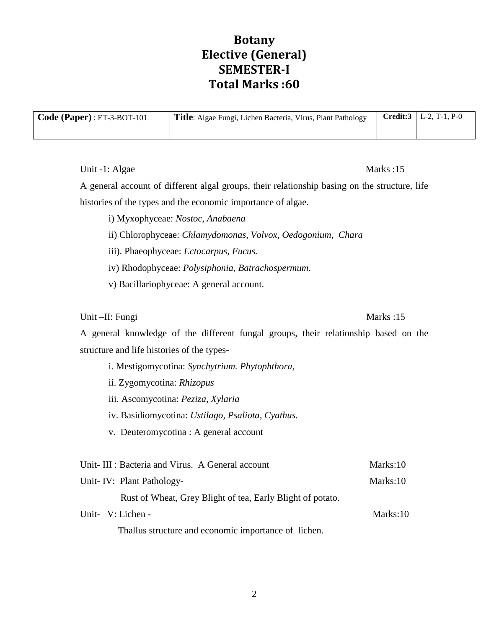# **Botany Elective (General) SEMESTER-I Total Marks :60**

| Code (Paper) : ET-3-BOT-101 | Title: Algae Fungi, Lichen Bacteria, Virus, Plant Pathology | <b>Credit:3</b>   L-2, T-1, P-0 |
|-----------------------------|-------------------------------------------------------------|---------------------------------|
|                             |                                                             |                                 |

Unit -1: Algae Marks :15

A general account of different algal groups, their relationship basing on the structure, life histories of the types and the economic importance of algae.

- i) Myxophyceae: *Nostoc, Anabaena*
- ii) Chlorophyceae: *Chlamydomonas, Volvox, Oedogonium, Chara*
- iii). Phaeophyceae: *Ectocarpus, Fucus.*
- iv) Rhodophyceae: *Polysiphonia, Batrachospermum*.
- v) Bacillariophyceae: A general account.

# Unit –II: Fungi Marks :15

A general knowledge of the different fungal groups, their relationship based on the structure and life histories of the types-

- i. Mestigomycotina: *Synchytrium. Phytophthora,*
- ii. Zygomycotina: *Rhizopus*
- iii. Ascomycotina: *Peziza, Xylaria*
- iv. Basidiomycotina: *Ustilago, Psaliota, Cyathus.*
- v. Deuteromycotina : A general account

| Unit-III : Bacteria and Virus. A General account           | Marks:10 |
|------------------------------------------------------------|----------|
| Unit-IV: Plant Pathology-                                  | Marks:10 |
| Rust of Wheat, Grey Blight of tea, Early Blight of potato. |          |
| Unit- V: Lichen -                                          | Marks:10 |

Thallus structure and economic importance of lichen.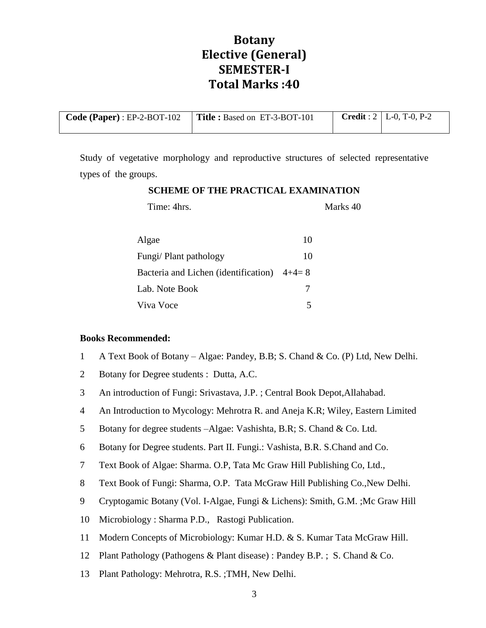# **Botany Elective (General) SEMESTER-I Total Marks :40**

| <b>Code (Paper)</b> : $EP-2-BOT-102$ <b>Title :</b> Based on $ET-3-BOT-101$ |  | <b>Credit</b> : $2 \mid L=0$ , T $=0$ , P $=2$ |
|-----------------------------------------------------------------------------|--|------------------------------------------------|
|                                                                             |  |                                                |

Study of vegetative morphology and reproductive structures of selected representative types of the groups.

# **SCHEME OF THE PRACTICAL EXAMINATION** Time: 4hrs. Marks 40

| Algae                                        | 10 |
|----------------------------------------------|----|
| Fungi/ Plant pathology                       | 10 |
| Bacteria and Lichen (identification) $4+4=8$ |    |
| Lab. Note Book                               |    |
| Viva Voce                                    |    |

## **Books Recommended:**

- 1 A Text Book of Botany Algae: Pandey, B.B; S. Chand & Co. (P) Ltd, New Delhi.
- 2 Botany for Degree students : Dutta, A.C.
- 3 An introduction of Fungi: Srivastava, J.P. ; Central Book Depot,Allahabad.
- 4 An Introduction to Mycology: Mehrotra R. and Aneja K.R; Wiley, Eastern Limited
- 5 Botany for degree students –Algae: Vashishta, B.R; S. Chand & Co. Ltd.
- 6 Botany for Degree students. Part II. Fungi.: Vashista, B.R. S.Chand and Co.
- 7 Text Book of Algae: Sharma. O.P, Tata Mc Graw Hill Publishing Co, Ltd.,
- 8 Text Book of Fungi: Sharma, O.P. Tata McGraw Hill Publishing Co.,New Delhi.
- 9 Cryptogamic Botany (Vol. I-Algae, Fungi & Lichens): Smith, G.M. ;Mc Graw Hill
- 10 Microbiology : Sharma P.D., Rastogi Publication.
- 11 Modern Concepts of Microbiology: Kumar H.D. & S. Kumar Tata McGraw Hill.
- 12 Plant Pathology (Pathogens & Plant disease) : Pandey B.P. ; S. Chand & Co.
- 13 Plant Pathology: Mehrotra, R.S. ;TMH, New Delhi.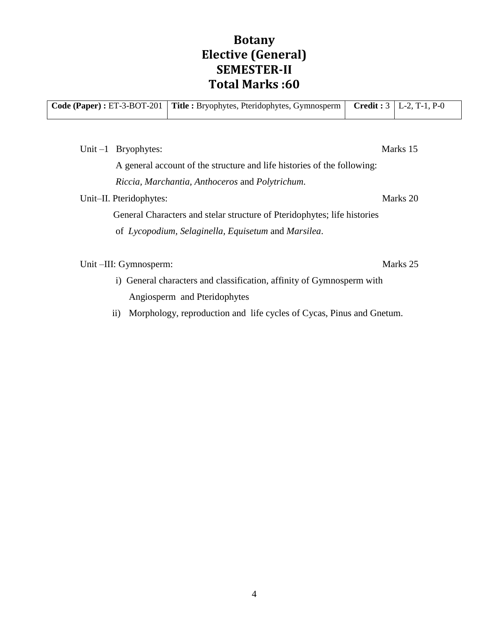# **Botany Elective (General) SEMESTER-II Total Marks :60**

| Code (Paper) : $ET-3-BOT-201$ |                       | <b>Title:</b> Bryophytes, Pteridophytes, Gymnosperm                     | <b>Credit:</b> $3   L-2, T-1, P-0$ |
|-------------------------------|-----------------------|-------------------------------------------------------------------------|------------------------------------|
|                               |                       |                                                                         |                                    |
|                               | Unit $-1$ Bryophytes: |                                                                         | Marks 15                           |
|                               |                       | A general account of the structure and life histories of the following: |                                    |
|                               |                       | Riccia, Marchantia, Anthoceros and Polytrichum.                         |                                    |

Unit–II. Pteridophytes: Marks 20

 $\mathbf{I}$ 

General Characters and stelar structure of Pteridophytes; life histories

of *Lycopodium, Selaginella, Equisetum* and *Marsilea*.

Unit –III: Gymnosperm: Marks 25

i) General characters and classification, affinity of Gymnosperm with Angiosperm and Pteridophytes

ii) Morphology, reproduction and life cycles of Cycas, Pinus and Gnetum.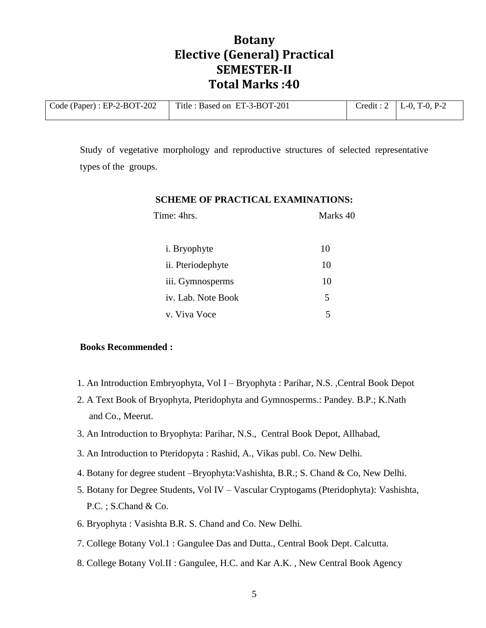# **Botany Elective (General) Practical SEMESTER-II Total Marks :40**

| Code (Paper) : $EP-2-BOT-202$ | Title : Based on ET-3-BOT-201 | Credit: $2   L-0, T-0, P-2 $ |
|-------------------------------|-------------------------------|------------------------------|
|                               |                               |                              |

Study of vegetative morphology and reproductive structures of selected representative types of the groups.

| Time: 4hrs.          | Marks 40 |
|----------------------|----------|
| <i>i</i> . Bryophyte | 10       |
| ii. Pteriodephyte    | 10       |
| iii. Gymnosperms     | 10       |
| iv. Lab. Note Book   | 5        |
| v. Viva Voce         | 5        |

## **SCHEME OF PRACTICAL EXAMINATIONS:**

### **Books Recommended :**

- 1. An Introduction Embryophyta, Vol I Bryophyta : Parihar, N.S. ,Central Book Depot
- 2. A Text Book of Bryophyta, Pteridophyta and Gymnosperms.: Pandey. B.P.; K.Nath and Co., Meerut.
- 3. An Introduction to Bryophyta: Parihar, N.S., Central Book Depot, Allhabad,
- 3. An Introduction to Pteridopyta : Rashid, A., Vikas publ. Co. New Delhi.
- 4. Botany for degree student –Bryophyta:Vashishta, B.R.; S. Chand & Co, New Delhi.
- 5. Botany for Degree Students, Vol IV Vascular Cryptogams (Pteridophyta): Vashishta, P.C. ; S.Chand & Co.
- 6. Bryophyta : Vasishta B.R. S. Chand and Co. New Delhi.
- 7. College Botany Vol.1 : Gangulee Das and Dutta., Central Book Dept. Calcutta.
- 8. College Botany Vol.II : Gangulee, H.C. and Kar A.K. , New Central Book Agency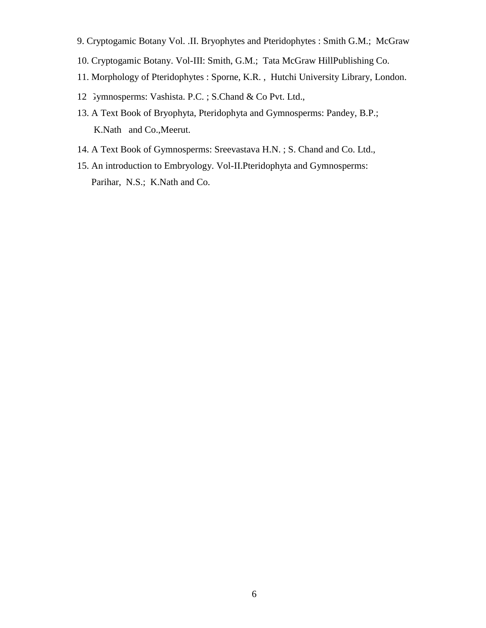- 9. Cryptogamic Botany Vol. .II. Bryophytes and Pteridophytes : Smith G.M.; McGraw
- 10. Cryptogamic Botany. Vol-III: Smith, G.M.; Tata McGraw HillPublishing Co.
- 11. Morphology of Pteridophytes : Sporne, K.R. , Hutchi University Library, London.
- 12 Jymnosperms: Vashista. P.C. ; S.Chand & Co Pvt. Ltd.,
- 13. A Text Book of Bryophyta, Pteridophyta and Gymnosperms: Pandey, B.P.; K.Nath and Co.,Meerut.
- 14. A Text Book of Gymnosperms: Sreevastava H.N. ; S. Chand and Co. Ltd.,
- 15. An introduction to Embryology. Vol-II.Pteridophyta and Gymnosperms: Parihar, N.S.; K.Nath and Co.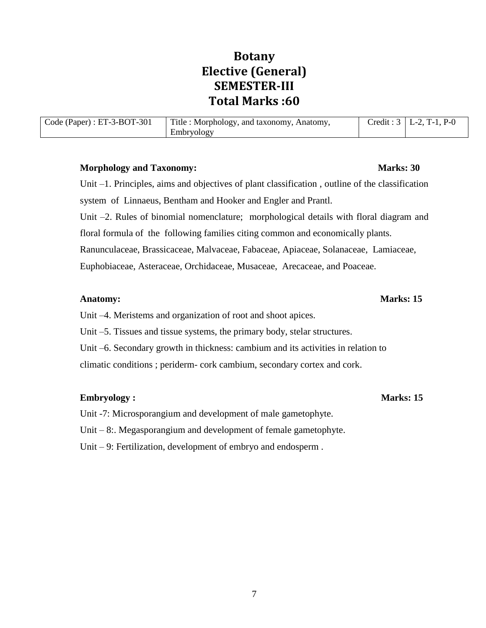# **Botany Elective (General) SEMESTER-III Total Marks :60**

| Code (Paper) : $ET-3-BOT-301$ | Title : Morphology, and taxonomy, Anatomy, | Credit: $3   L-2, T-1, P-0$ |
|-------------------------------|--------------------------------------------|-----------------------------|
|                               | Embryology                                 |                             |

### **Morphology and Taxonomy:** Marks: 30

Unit –1. Principles, aims and objectives of plant classification , outline of the classification system of Linnaeus, Bentham and Hooker and Engler and Prantl. Unit –2. Rules of binomial nomenclature; morphological details with floral diagram and floral formula of the following families citing common and economically plants. Ranunculaceae, Brassicaceae, Malvaceae, Fabaceae, Apiaceae, Solanaceae, Lamiaceae, Euphobiaceae, Asteraceae, Orchidaceae, Musaceae, Arecaceae, and Poaceae.

### **Anatomy:** Marks: 15

Unit –4. Meristems and organization of root and shoot apices.

Unit –5. Tissues and tissue systems, the primary body, stelar structures.

Unit –6. Secondary growth in thickness: cambium and its activities in relation to climatic conditions ; periderm- cork cambium, secondary cortex and cork.

## **Embryology :** Marks: 15

Unit -7: Microsporangium and development of male gametophyte.

Unit – 8:. Megasporangium and development of female gametophyte.

Unit – 9: Fertilization, development of embryo and endosperm .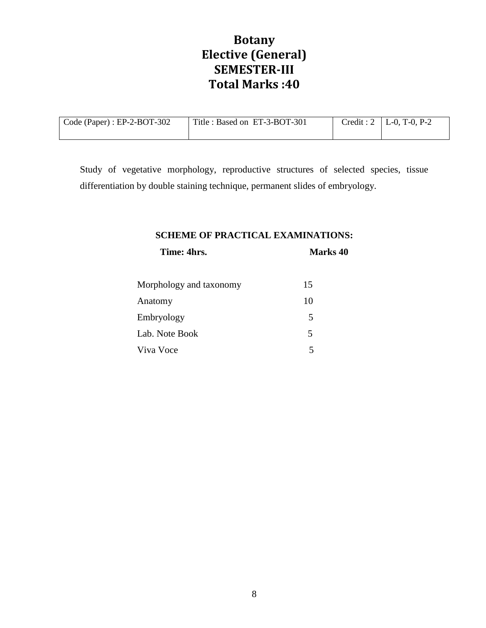# **Botany Elective (General) SEMESTER-III Total Marks :40**

| $\vert$ Code (Paper) : EP-2-BOT-302 | Title : Based on ET-3-BOT-301 | Credit: $2 \mid L-0$ , T-0, P-2 |
|-------------------------------------|-------------------------------|---------------------------------|
|                                     |                               |                                 |

Study of vegetative morphology, reproductive structures of selected species, tissue differentiation by double staining technique, permanent slides of embryology.

## **SCHEME OF PRACTICAL EXAMINATIONS:**

**Time: 4hrs.** Marks 40

| Morphology and taxonomy | 15 |
|-------------------------|----|
| Anatomy                 | 10 |
| Embryology              | 5  |
| Lab. Note Book          | 5  |
| Viva Voce               | 5  |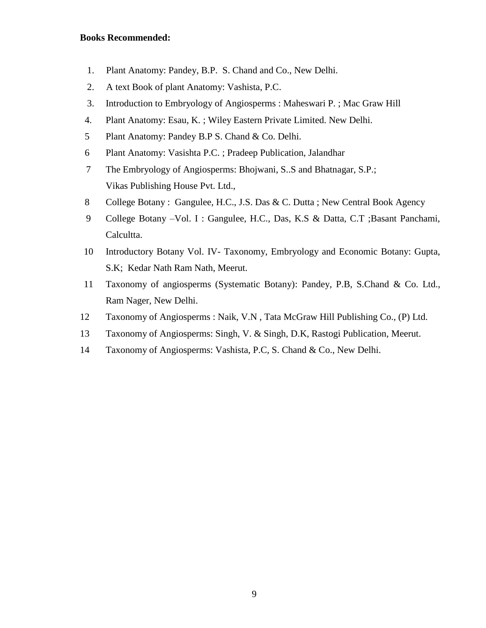### **Books Recommended:**

- 1. Plant Anatomy: Pandey, B.P. S. Chand and Co., New Delhi.
- 2. A text Book of plant Anatomy: Vashista, P.C.
- 3. Introduction to Embryology of Angiosperms : Maheswari P. ; Mac Graw Hill
- 4. Plant Anatomy: Esau, K. ; Wiley Eastern Private Limited. New Delhi.
- 5 Plant Anatomy: Pandey B.P S. Chand & Co. Delhi.
- 6 Plant Anatomy: Vasishta P.C. ; Pradeep Publication, Jalandhar
- 7 The Embryology of Angiosperms: Bhojwani, S..S and Bhatnagar, S.P.; Vikas Publishing House Pvt. Ltd.,
- 8 College Botany : Gangulee, H.C., J.S. Das & C. Dutta ; New Central Book Agency
- 9 College Botany –Vol. I : Gangulee, H.C., Das, K.S & Datta, C.T ;Basant Panchami, Calcultta.
- 10 Introductory Botany Vol. IV- Taxonomy, Embryology and Economic Botany: Gupta, S.K; Kedar Nath Ram Nath, Meerut.
- 11 Taxonomy of angiosperms (Systematic Botany): Pandey, P.B, S.Chand & Co. Ltd., Ram Nager, New Delhi.
- 12 Taxonomy of Angiosperms : Naik, V.N , Tata McGraw Hill Publishing Co., (P) Ltd.
- 13 Taxonomy of Angiosperms: Singh, V. & Singh, D.K, Rastogi Publication, Meerut.
- 14 Taxonomy of Angiosperms: Vashista, P.C, S. Chand & Co., New Delhi.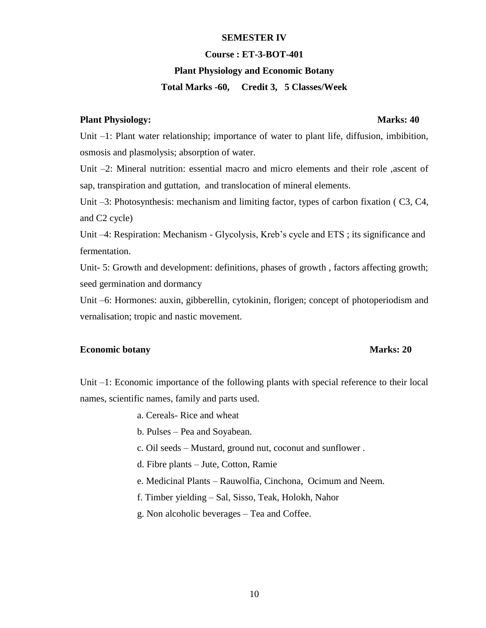#### **SEMESTER IV**

#### **Course : ET-3-BOT-401**

#### **Plant Physiology and Economic Botany**

### **Total Marks -60, Credit 3, 5 Classes/Week**

### **Plant Physiology:** Marks: 40

# Unit –1: Plant water relationship; importance of water to plant life, diffusion, imbibition, osmosis and plasmolysis; absorption of water.

Unit –2: Mineral nutrition: essential macro and micro elements and their role ,ascent of sap, transpiration and guttation, and translocation of mineral elements.

Unit –3: Photosynthesis: mechanism and limiting factor, types of carbon fixation ( C3, C4, and C2 cycle)

Unit –4: Respiration: Mechanism - Glycolysis, Kreb's cycle and ETS ; its significance and fermentation.

Unit- 5: Growth and development: definitions, phases of growth , factors affecting growth; seed germination and dormancy

Unit –6: Hormones: auxin, gibberellin, cytokinin, florigen; concept of photoperiodism and vernalisation; tropic and nastic movement.

#### **Economic botany Marks: 20**

Unit –1: Economic importance of the following plants with special reference to their local names, scientific names, family and parts used.

- a. Cereals- Rice and wheat
- b. Pulses Pea and Soyabean.
- c. Oil seeds Mustard, ground nut, coconut and sunflower .
- d. Fibre plants Jute, Cotton, Ramie
- e. Medicinal Plants Rauwolfia, Cinchona, Ocimum and Neem.
- f. Timber yielding Sal, Sisso, Teak, Holokh, Nahor
- g. Non alcoholic beverages Tea and Coffee.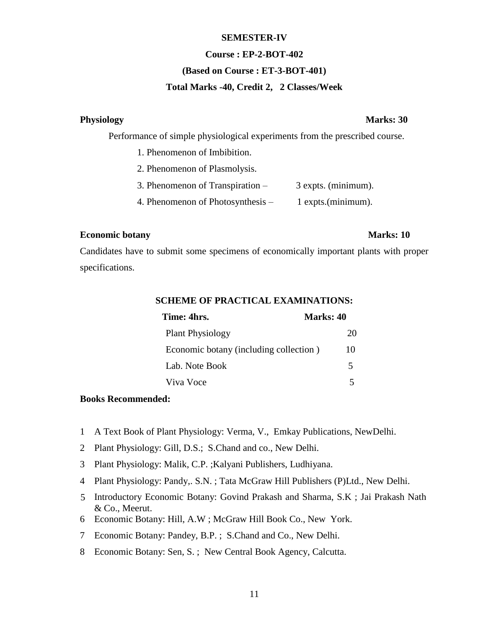#### **SEMESTER-IV**

#### **Course : EP-2-BOT-402**

### **(Based on Course : ET-3-BOT-401)**

## **Total Marks -40, Credit 2, 2 Classes/Week**

#### Physiology **Marks: 30**

Performance of simple physiological experiments from the prescribed course.

- 1. Phenomenon of Imbibition.
- 2. Phenomenon of Plasmolysis.
- 3. Phenomenon of Transpiration 3 expts. (minimum).
- 4. Phenomenon of Photosynthesis 1 expts.(minimum).

### **Economic botany Marks: 10**

Candidates have to submit some specimens of economically important plants with proper specifications.

| SCHEME OF PRACTICAL EXAMINATIONS: |  |  |  |  |
|-----------------------------------|--|--|--|--|
|                                   |  |  |  |  |

**SCHEME OF PRACTICAL EXAMINATIONS:**

| Time: 4hrs.                            | Marks: 40 |
|----------------------------------------|-----------|
| <b>Plant Physiology</b>                | 20        |
| Economic botany (including collection) | 10        |
| Lab. Note Book                         | 5         |
| Viva Voce                              |           |

## **Books Recommended:**

- 1 A Text Book of Plant Physiology: Verma, V., Emkay Publications, NewDelhi.
- 2 Plant Physiology: Gill, D.S.; S.Chand and co., New Delhi.
- 3 Plant Physiology: Malik, C.P. ;Kalyani Publishers, Ludhiyana.
- 4 Plant Physiology: Pandy,. S.N. ; Tata McGraw Hill Publishers (P)Ltd., New Delhi.
- 5 Introductory Economic Botany: Govind Prakash and Sharma, S.K ; Jai Prakash Nath & Co., Meerut.
- 6 Economic Botany: Hill, A.W ; McGraw Hill Book Co., New York.
- 7 Economic Botany: Pandey, B.P. ; S.Chand and Co., New Delhi.
- 8 Economic Botany: Sen, S. ; New Central Book Agency, Calcutta.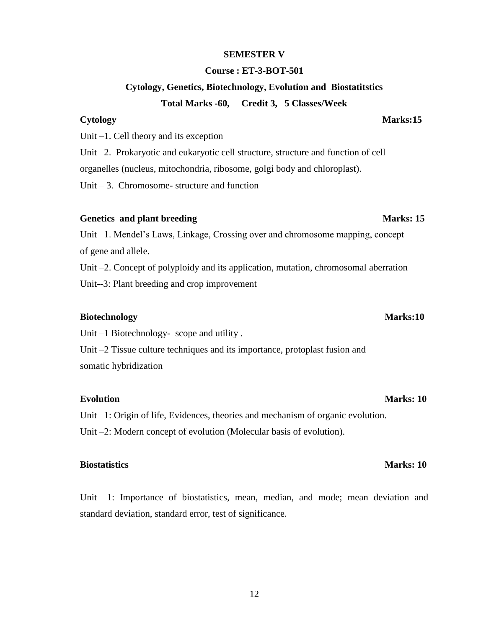#### **Cytology, Genetics, Biotechnology, Evolution and Biostatitstics**

**SEMESTER V**

**Course : ET-3-BOT-501**

#### **Total Marks -60, Credit 3, 5 Classes/Week**

Unit –1. Cell theory and its exception

Unit –2. Prokaryotic and eukaryotic cell structure, structure and function of cell

organelles (nucleus, mitochondria, ribosome, golgi body and chloroplast).

Unit  $-3$ . Chromosome-structure and function

### Genetics and plant breeding Marks: 15

Unit –1. Mendel's Laws, Linkage, Crossing over and chromosome mapping, concept of gene and allele.

Unit –2. Concept of polyploidy and its application, mutation, chromosomal aberration Unit--3: Plant breeding and crop improvement

### **Biotechnology Marks:10**

Unit –1 Biotechnology- scope and utility.

Unit –2 Tissue culture techniques and its importance, protoplast fusion and somatic hybridization

### **Evolution Marks: 10**

Unit –1: Origin of life, Evidences, theories and mechanism of organic evolution. Unit –2: Modern concept of evolution (Molecular basis of evolution).

Unit –1: Importance of biostatistics, mean, median, and mode; mean deviation and standard deviation, standard error, test of significance.

### **Cytology Marks:15**

### **Biostatistics Marks: 10**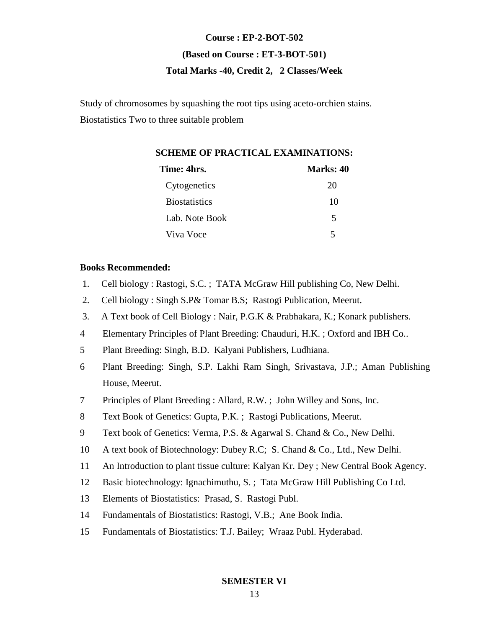# **Course : EP-2-BOT-502 (Based on Course : ET-3-BOT-501) Total Marks -40, Credit 2, 2 Classes/Week**

Study of chromosomes by squashing the root tips using aceto-orchien stains. Biostatistics Two to three suitable problem

## **SCHEME OF PRACTICAL EXAMINATIONS:**

| Time: 4hrs.          | Marks: 40 |
|----------------------|-----------|
| Cytogenetics         | 20        |
| <b>Biostatistics</b> | 10        |
| Lab. Note Book       | 5         |
| Viva Voce            | 5         |

### **Books Recommended:**

- 1. Cell biology : Rastogi, S.C. ; TATA McGraw Hill publishing Co, New Delhi.
- 2. Cell biology : Singh S.P& Tomar B.S; Rastogi Publication, Meerut.
- 3. A Text book of Cell Biology : Nair, P.G.K & Prabhakara, K.; Konark publishers.
- 4 Elementary Principles of Plant Breeding: Chauduri, H.K. ; Oxford and IBH Co..
- 5 Plant Breeding: Singh, B.D. Kalyani Publishers, Ludhiana.
- 6 Plant Breeding: Singh, S.P. Lakhi Ram Singh, Srivastava, J.P.; Aman Publishing House, Meerut.
- 7 Principles of Plant Breeding : Allard, R.W. ; John Willey and Sons, Inc.
- 8 Text Book of Genetics: Gupta, P.K. ; Rastogi Publications, Meerut.
- 9 Text book of Genetics: Verma, P.S. & Agarwal S. Chand & Co., New Delhi.
- 10 A text book of Biotechnology: Dubey R.C; S. Chand & Co., Ltd., New Delhi.
- 11 An Introduction to plant tissue culture: Kalyan Kr. Dey ; New Central Book Agency.
- 12 Basic biotechnology: Ignachimuthu, S. ; Tata McGraw Hill Publishing Co Ltd.
- 13 Elements of Biostatistics: Prasad, S. Rastogi Publ.
- 14 Fundamentals of Biostatistics: Rastogi, V.B.; Ane Book India.
- 15 Fundamentals of Biostatistics: T.J. Bailey; Wraaz Publ. Hyderabad.

**SEMESTER VI**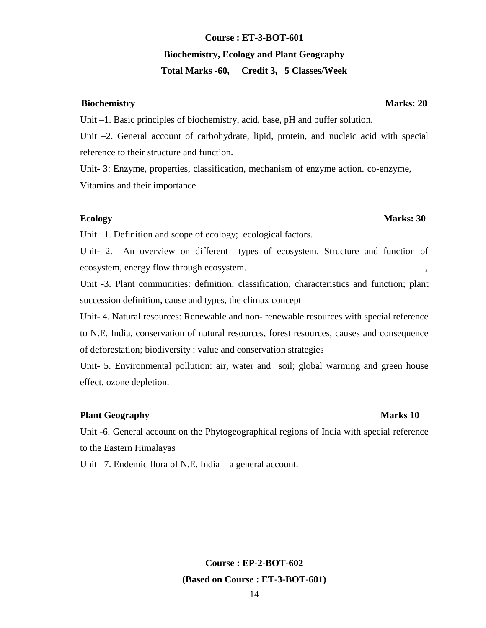# 14 **Course : EP-2-BOT-602 (Based on Course : ET-3-BOT-601)**

# **Course : ET-3-BOT-601 Biochemistry, Ecology and Plant Geography**

# **Total Marks -60, Credit 3, 5 Classes/Week**

## **Biochemistry** Marks: 20

Unit –1. Basic principles of biochemistry, acid, base, pH and buffer solution.

Unit –2. General account of carbohydrate, lipid, protein, and nucleic acid with special reference to their structure and function.

Unit- 3: Enzyme, properties, classification, mechanism of enzyme action. co-enzyme, Vitamins and their importance

Unit –1. Definition and scope of ecology; ecological factors.

Unit- 2. An overview on different types of ecosystem. Structure and function of ecosystem, energy flow through ecosystem.

Unit -3. Plant communities: definition, classification, characteristics and function; plant succession definition, cause and types, the climax concept

Unit- 4. Natural resources: Renewable and non- renewable resources with special reference to N.E. India, conservation of natural resources, forest resources, causes and consequence of deforestation; biodiversity : value and conservation strategies

Unit- 5. Environmental pollution: air, water and soil; global warming and green house effect, ozone depletion.

# **Plant Geography Marks 10**

Unit -6. General account on the Phytogeographical regions of India with special reference to the Eastern Himalayas

Unit –7. Endemic flora of N.E. India – a general account.

**Ecology Marks: 30**